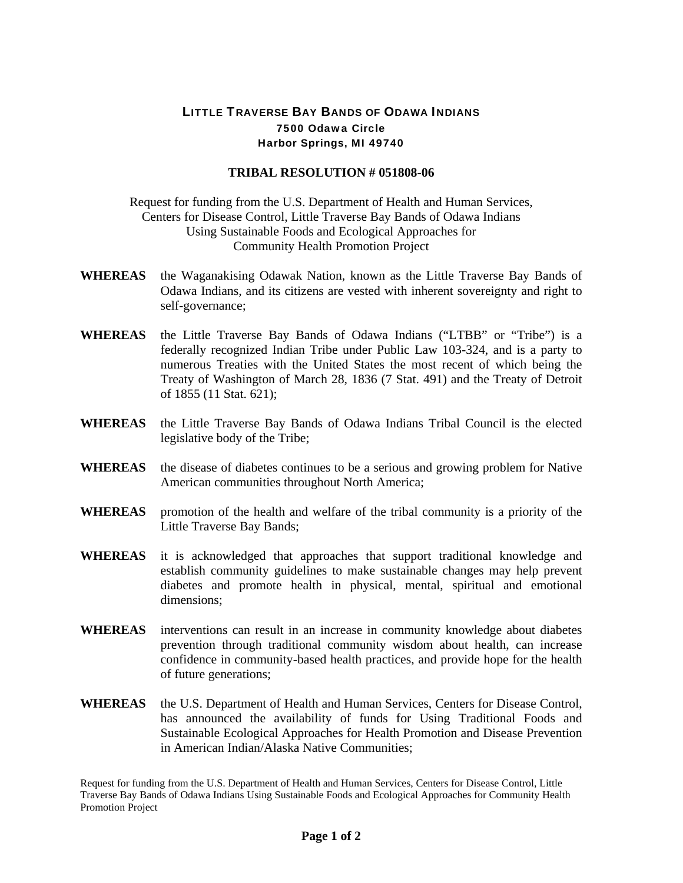## LITTLE TRAVERSE BAY BANDS OF ODAWA INDIANS 7500 Odawa Circle Harbor Springs, MI 49740

## **TRIBAL RESOLUTION # 051808-06**

Request for funding from the U.S. Department of Health and Human Services, Centers for Disease Control, Little Traverse Bay Bands of Odawa Indians Using Sustainable Foods and Ecological Approaches for Community Health Promotion Project

- **WHEREAS** the Waganakising Odawak Nation, known as the Little Traverse Bay Bands of Odawa Indians, and its citizens are vested with inherent sovereignty and right to self-governance;
- **WHEREAS** the Little Traverse Bay Bands of Odawa Indians ("LTBB" or "Tribe") is a federally recognized Indian Tribe under Public Law 103-324, and is a party to numerous Treaties with the United States the most recent of which being the Treaty of Washington of March 28, 1836 (7 Stat. 491) and the Treaty of Detroit of 1855 (11 Stat. 621);
- **WHEREAS** the Little Traverse Bay Bands of Odawa Indians Tribal Council is the elected legislative body of the Tribe;
- **WHEREAS** the disease of diabetes continues to be a serious and growing problem for Native American communities throughout North America;
- **WHEREAS** promotion of the health and welfare of the tribal community is a priority of the Little Traverse Bay Bands;
- **WHEREAS** it is acknowledged that approaches that support traditional knowledge and establish community guidelines to make sustainable changes may help prevent diabetes and promote health in physical, mental, spiritual and emotional dimensions;
- **WHEREAS** interventions can result in an increase in community knowledge about diabetes prevention through traditional community wisdom about health, can increase confidence in community-based health practices, and provide hope for the health of future generations;
- **WHEREAS** the U.S. Department of Health and Human Services, Centers for Disease Control, has announced the availability of funds for Using Traditional Foods and Sustainable Ecological Approaches for Health Promotion and Disease Prevention in American Indian/Alaska Native Communities;

Request for funding from the U.S. Department of Health and Human Services, Centers for Disease Control, Little Traverse Bay Bands of Odawa Indians Using Sustainable Foods and Ecological Approaches for Community Health Promotion Project